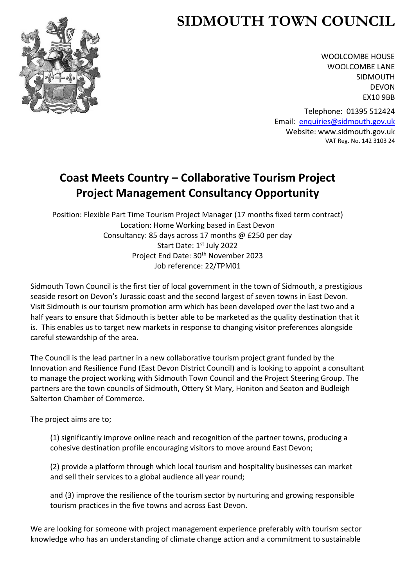# **SIDMOUTH TOWN COUNCIL**



WOOLCOMBE HOUSE WOOLCOMBE LANE SIDMOUTH DEVON EX10 9BB

Telephone: 01395 512424 Email: [enquiries@sidmouth.gov.uk](mailto:enquiries@sidmouth.gov.uk) Website: www.sidmouth.gov.uk VAT Reg. No. 142 3103 24

# **Coast Meets Country – Collaborative Tourism Project Project Management Consultancy Opportunity**

Position: Flexible Part Time Tourism Project Manager (17 months fixed term contract) Location: Home Working based in East Devon Consultancy: 85 days across 17 months @ £250 per day Start Date: 1st July 2022 Project End Date: 30th November 2023 Job reference: 22/TPM01

Sidmouth Town Council is the first tier of local government in the town of Sidmouth, a prestigious seaside resort on Devon's Jurassic coast and the second largest of seven towns in East Devon. Visit Sidmouth is our tourism promotion arm which has been developed over the last two and a half years to ensure that Sidmouth is better able to be marketed as the quality destination that it is. This enables us to target new markets in response to changing visitor preferences alongside careful stewardship of the area.

The Council is the lead partner in a new collaborative tourism project grant funded by the Innovation and Resilience Fund (East Devon District Council) and is looking to appoint a consultant to manage the project working with Sidmouth Town Council and the Project Steering Group. The partners are the town councils of Sidmouth, Ottery St Mary, Honiton and Seaton and Budleigh Salterton Chamber of Commerce.

The project aims are to;

(1) significantly improve online reach and recognition of the partner towns, producing a cohesive destination profile encouraging visitors to move around East Devon;

(2) provide a platform through which local tourism and hospitality businesses can market and sell their services to a global audience all year round;

and (3) improve the resilience of the tourism sector by nurturing and growing responsible tourism practices in the five towns and across East Devon.

We are looking for someone with project management experience preferably with tourism sector knowledge who has an understanding of climate change action and a commitment to sustainable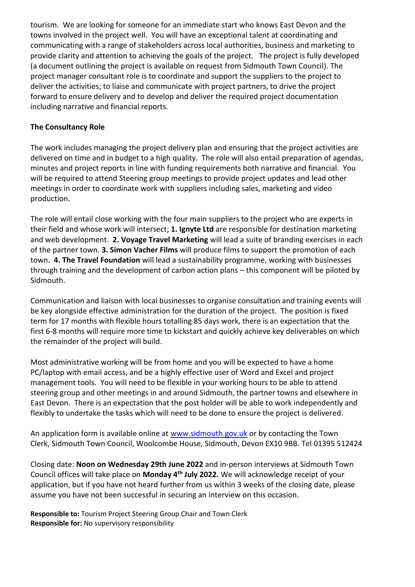tourism. We are looking for someone for an immediate start who knows East Devon and the towns involved in the project well. You will have an exceptional talent at coordinating and communicating with a range of stakeholders across local authorities, business and marketing to provide clarity and attention to achieving the goals of the project. The project is fully developed (a document outlining the project is available on request from Sidmouth Town Council). The project manager consultant role is to coordinate and support the suppliers to the project to deliver the activities; to liaise and communicate with project partners, to drive the project forward to ensure delivery and to develop and deliver the required project documentation including narrative and financial reports.

#### **The Consultancy Role**

The work includes managing the project delivery plan and ensuring that the project activities are delivered on time and in budget to a high quality. The role will also entail preparation of agendas, minutes and project reports in line with funding requirements both narrative and financial. You will be required to attend Steering group meetings to provide project updates and lead other meetings in order to coordinate work with suppliers including sales, marketing and video production.

The role will entail close working with the four main suppliers to the project who are experts in their field and whose work will intersect; **1. Ignyte Ltd** are responsible for destination marketing and web development. **2. Voyage Travel Marketing** will lead a suite of branding exercises in each of the partner town. **3. Simon Vacher Films** will produce films to support the promotion of each town. **4. The Travel Foundation** will lead a sustainability programme, working with businesses through training and the development of carbon action plans – this component will be piloted by Sidmouth.

Communication and liaison with local businesses to organise consultation and training events will be key alongside effective administration for the duration of the project. The position is fixed term for 17 months with flexible hours totalling 85 days work, there is an expectation that the first 6-8 months will require more time to kickstart and quickly achieve key deliverables on which the remainder of the project will build.

Most administrative working will be from home and you will be expected to have a home PC/laptop with email access, and be a highly effective user of Word and Excel and project management tools. You will need to be flexible in your working hours to be able to attend steering group and other meetings in and around Sidmouth, the partner towns and elsewhere in East Devon. There is an expectation that the post holder will be able to work independently and flexibly to undertake the tasks which will need to be done to ensure the project is delivered.

An application form is available online at [www.sidmouth.gov.uk](http://www.sidmouth.gov.uk/) or by contacting the Town Clerk, Sidmouth Town Council, Woolcombe House, Sidmouth, Devon EX10 9BB. Tel 01395 512424

Closing date: **Noon on Wednesday 29th June 2022** and in-person interviews at Sidmouth Town Council offices will take place on **Monday 4th July 2022.** We will acknowledge receipt of your application, but if you have not heard further from us within 3 weeks of the closing date, please assume you have not been successful in securing an interview on this occasion.

**Responsible to:** Tourism Project Steering Group Chair and Town Clerk **Responsible for:** No supervisory responsibility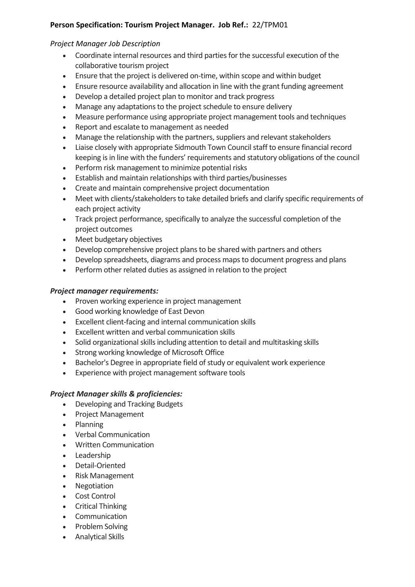#### **Person Specification: Tourism Project Manager. Job Ref.:** 22/TPM01

#### *Project Manager Job Description*

- Coordinate internal resources and third parties for the successful execution of the collaborative tourism project
- Ensure that the project is delivered on-time, within scope and within budget
- Ensure resource availability and allocation in line with the grant funding agreement
- Develop a detailed project plan to monitor and track progress
- Manage any adaptations to the project schedule to ensure delivery
- Measure performance using appropriate project management tools and techniques
- Report and escalate to management as needed
- Manage the relationship with the partners, suppliers and relevant stakeholders
- Liaise closely with appropriate Sidmouth Town Council staff to ensure financial record keeping is in line with the funders' requirements and statutory obligations of the council
- Perform risk management to minimize potential risks
- Establish and maintain relationships with third parties/businesses
- Create and maintain comprehensive project documentation
- Meet with clients/stakeholders to take detailed briefs and clarify specific requirements of each project activity
- Track project performance, specifically to analyze the successful completion of the project outcomes
- Meet budgetary objectives
- Develop comprehensive project plans to be shared with partners and others
- Develop spreadsheets, diagrams and process maps to document progress and plans
- Perform other related duties as assigned in relation to the project

#### *Project manager requirements:*

- Proven working experience in project management
- Good working knowledge of East Devon
- Excellent client-facing and internal communication skills
- Excellent written and verbal communication skills
- Solid organizational skills including attention to detail and multitasking skills
- Strong working knowledge of Microsoft Office
- Bachelor's Degree in appropriate field of study or equivalent work experience
- Experience with project management software tools

#### *Project Manager skills & proficiencies:*

- Developing and Tracking Budgets
- Project Management
- Planning
- Verbal Communication
- Written Communication
- Leadership
- Detail-Oriented
- Risk Management
- Negotiation
- Cost Control
- Critical Thinking
- **Communication**
- Problem Solving
- Analytical Skills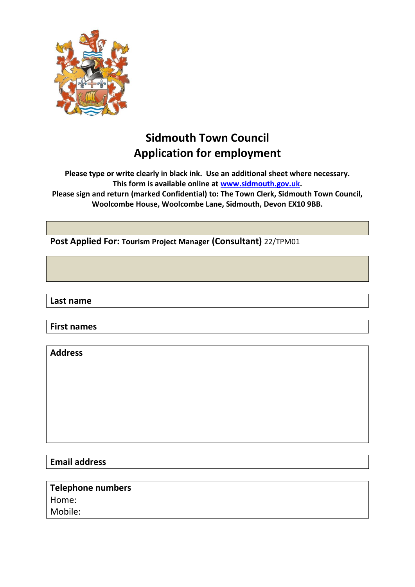

# **Sidmouth Town Council Application for employment**

**Please type or write clearly in black ink. Use an additional sheet where necessary. This form is available online at [www.sidmouth.gov.uk.](http://www.sidmouth.gov.uk/)**

**Please sign and return (marked Confidential) to: The Town Clerk, Sidmouth Town Council, Woolcombe House, Woolcombe Lane, Sidmouth, Devon EX10 9BB.**

**Post Applied For: Tourism Project Manager (Consultant)** 22/TPM01

**Last name**

**First names**

**Address**

**Email address**

**Telephone numbers** Home: Mobile: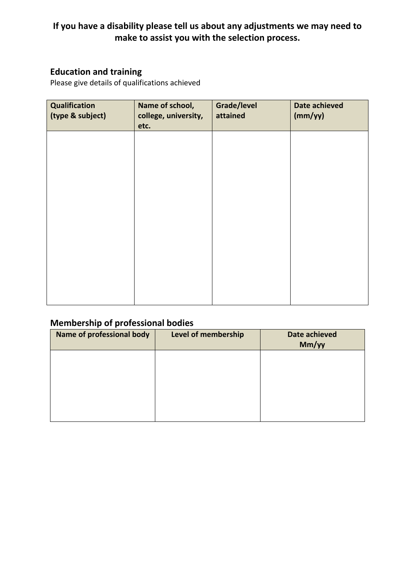### **If you have a disability please tell us about any adjustments we may need to make to assist you with the selection process.**

### **Education and training**

Please give details of qualifications achieved

| Qualification<br>(type & subject) | Name of school,<br>college, university,<br>etc. | Grade/level<br>attained | Date achieved<br>(mm/yy) |
|-----------------------------------|-------------------------------------------------|-------------------------|--------------------------|
|                                   |                                                 |                         |                          |
|                                   |                                                 |                         |                          |
|                                   |                                                 |                         |                          |
|                                   |                                                 |                         |                          |
|                                   |                                                 |                         |                          |
|                                   |                                                 |                         |                          |

### **Membership of professional bodies**

| <b>Name of professional body</b> | Level of membership | <b>Date achieved</b><br>Mm/yy |
|----------------------------------|---------------------|-------------------------------|
|                                  |                     |                               |
|                                  |                     |                               |
|                                  |                     |                               |
|                                  |                     |                               |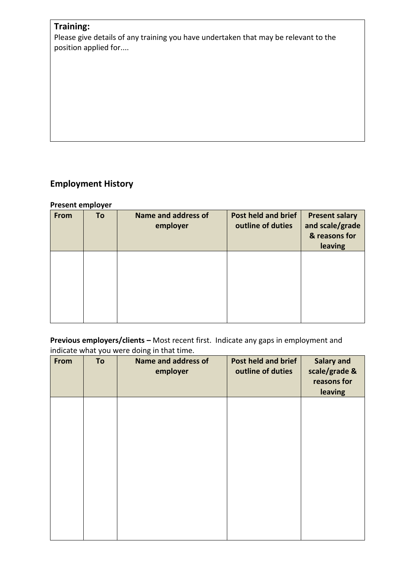### **Training:**

Please give details of any training you have undertaken that may be relevant to the position applied for....

### **Employment History**

### **Present employer**

| From | To | Name and address of<br>employer | <b>Post held and brief</b><br>outline of duties | <b>Present salary</b><br>and scale/grade<br>& reasons for<br>leaving |
|------|----|---------------------------------|-------------------------------------------------|----------------------------------------------------------------------|
|      |    |                                 |                                                 |                                                                      |
|      |    |                                 |                                                 |                                                                      |

**Previous employers/clients –** Most recent first. Indicate any gaps in employment and indicate what you were doing in that time.

| From | To | <b>Name and address of</b><br>employer | Post held and brief<br>outline of duties | <b>Salary and</b><br>scale/grade &<br>reasons for<br>leaving |
|------|----|----------------------------------------|------------------------------------------|--------------------------------------------------------------|
|      |    |                                        |                                          |                                                              |
|      |    |                                        |                                          |                                                              |
|      |    |                                        |                                          |                                                              |
|      |    |                                        |                                          |                                                              |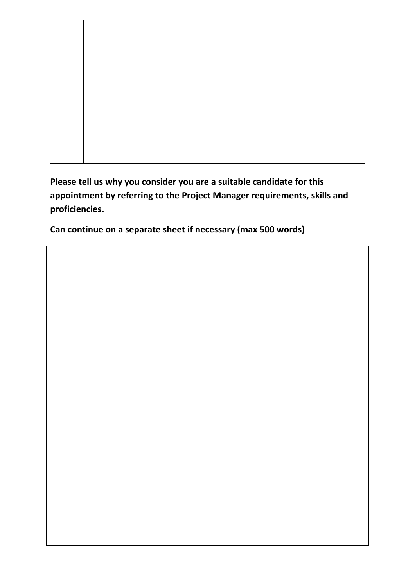**Please tell us why you consider you are a suitable candidate for this appointment by referring to the Project Manager requirements, skills and proficiencies.**

**Can continue on a separate sheet if necessary (max 500 words)**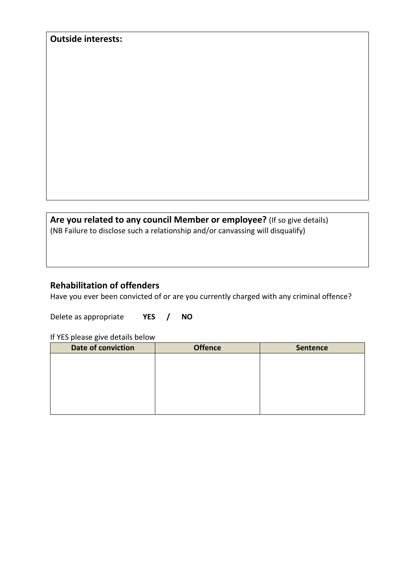| <b>Outside interests:</b>                                                      |
|--------------------------------------------------------------------------------|
|                                                                                |
|                                                                                |
|                                                                                |
|                                                                                |
|                                                                                |
|                                                                                |
|                                                                                |
|                                                                                |
|                                                                                |
|                                                                                |
|                                                                                |
|                                                                                |
|                                                                                |
|                                                                                |
|                                                                                |
|                                                                                |
|                                                                                |
|                                                                                |
|                                                                                |
|                                                                                |
|                                                                                |
|                                                                                |
|                                                                                |
|                                                                                |
|                                                                                |
|                                                                                |
| Are you related to any council Member or employee? (If so give details)        |
|                                                                                |
| (NB Failure to disclose such a relationship and/or canvassing will disqualify) |
|                                                                                |
|                                                                                |
|                                                                                |

### **Rehabilitation of offenders**

Have you ever been convicted of or are you currently charged with any criminal offence?

Delete as appropriate **YES / NO**

If YES please give details below

| Date of conviction | <b>Offence</b> | <b>Sentence</b> |
|--------------------|----------------|-----------------|
|                    |                |                 |
|                    |                |                 |
|                    |                |                 |
|                    |                |                 |
|                    |                |                 |
|                    |                |                 |